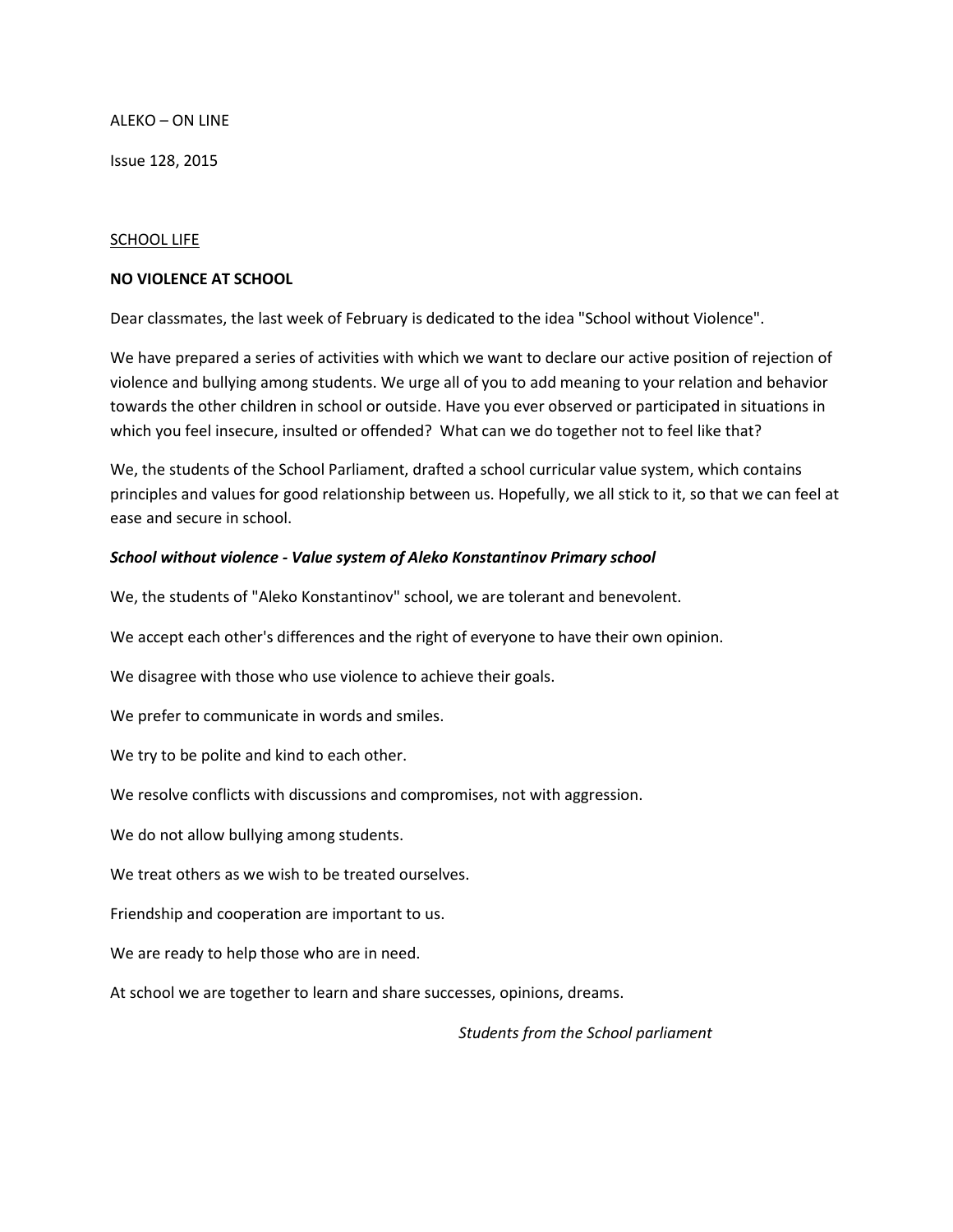ALEKO – ON LINE

Issue 128, 2015

#### SCHOOL LIFE

#### **NO VIOLENCE AT SCHOOL**

Dear classmates, the last week of February is dedicated to the idea "School without Violence".

We have prepared a series of activities with which we want to declare our active position of rejection of violence and bullying among students. We urge all of you to add meaning to your relation and behavior towards the other children in school or outside. Have you ever observed or participated in situations in which you feel insecure, insulted or offended? What can we do together not to feel like that?

We, the students of the School Parliament, drafted a school curricular value system, which contains principles and values for good relationship between us. Hopefully, we all stick to it, so that we can feel at ease and secure in school.

#### *School without violence - Value system of Aleko Konstantinov Primary school*

We, the students of "Aleko Konstantinov" school, we are tolerant and benevolent.

We accept each other's differences and the right of everyone to have their own opinion.

We disagree with those who use violence to achieve their goals.

We prefer to communicate in words and smiles.

We try to be polite and kind to each other.

We resolve conflicts with discussions and compromises, not with aggression.

We do not allow bullying among students.

We treat others as we wish to be treated ourselves.

Friendship and cooperation are important to us.

We are ready to help those who are in need.

At school we are together to learn and share successes, opinions, dreams.

 *Students from the School parliament*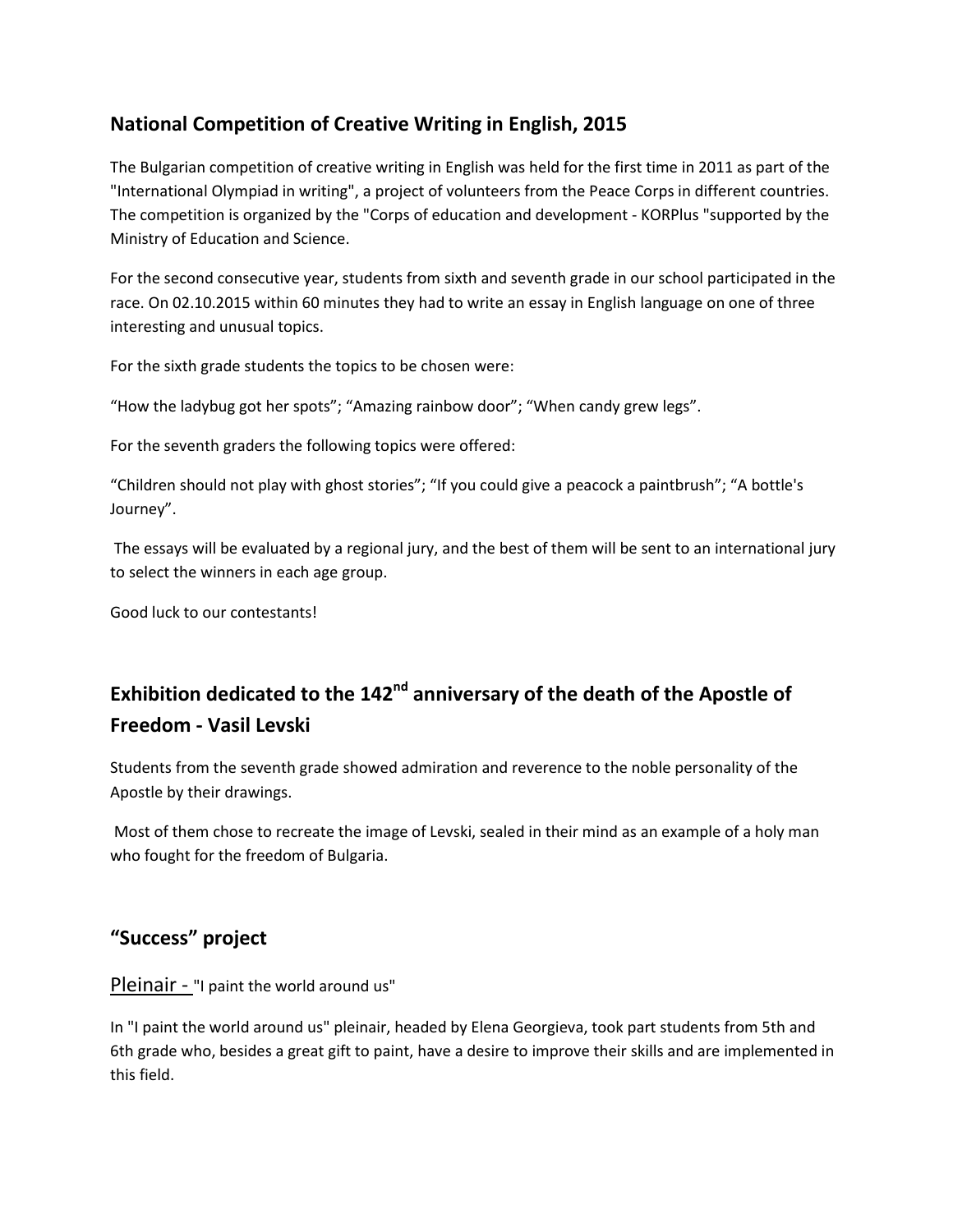## **National Competition of Creative Writing in English, 2015**

The Bulgarian competition of creative writing in English was held for the first time in 2011 as part of the "International Olympiad in writing", a project of volunteers from the Peace Corps in different countries. The competition is organized by the "Corps of education and development - KORPlus "supported by the Ministry of Education and Science.

For the second consecutive year, students from sixth and seventh grade in our school participated in the race. On 02.10.2015 within 60 minutes they had to write an essay in English language on one of three interesting and unusual topics.

For the sixth grade students the topics to be chosen were:

"How the ladybug got her spots"; "Amazing rainbow door"; "When candy grew legs".

For the seventh graders the following topics were offered:

"Children should not play with ghost stories"; "If you could give a peacock a paintbrush"; "A bottle's Journey".

The essays will be evaluated by a regional jury, and the best of them will be sent to an international jury to select the winners in each age group.

Good luck to our contestants!

# **Exhibition dedicated to the 142nd anniversary of the death of the Apostle of Freedom - Vasil Levski**

Students from the seventh grade showed admiration and reverence to the noble personality of the Apostle by their drawings.

Most of them chose to recreate the image of Levski, sealed in their mind as an example of a holy man who fought for the freedom of Bulgaria.

### **"Success" project**

Pleinair - "I paint the world around us"

In "I paint the world around us" pleinair, headed by Elena Georgieva, took part students from 5th and 6th grade who, besides a great gift to paint, have a desire to improve their skills and are implemented in this field.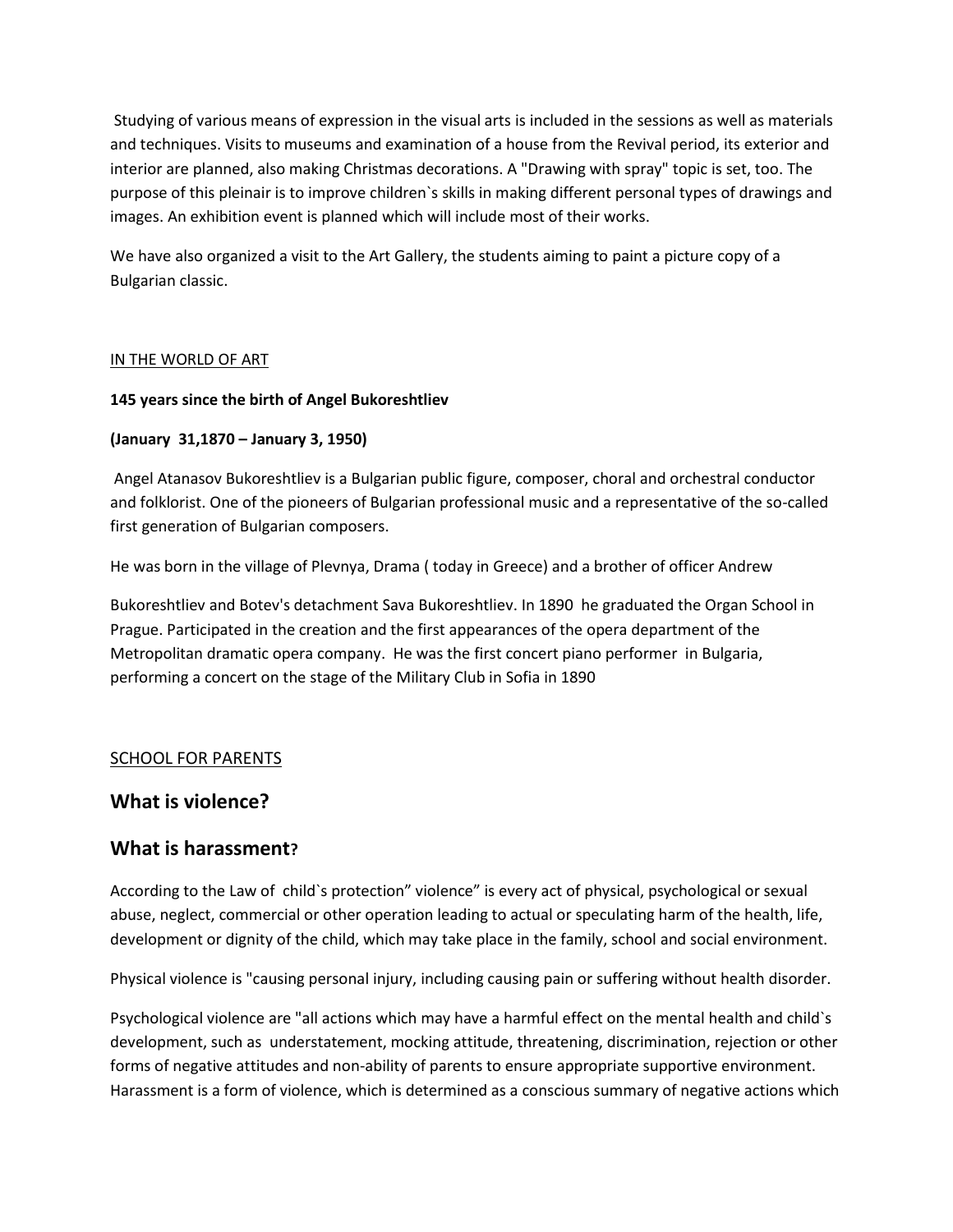Studying of various means of expression in the visual arts is included in the sessions as well as materials and techniques. Visits to museums and examination of a house from the Revival period, its exterior and interior are planned, also making Christmas decorations. A "Drawing with spray" topic is set, too. The purpose of this pleinair is to improve children`s skills in making different personal types of drawings and images. An exhibition event is planned which will include most of their works.

We have also organized a visit to the Art Gallery, the students aiming to paint a picture copy of a Bulgarian classic.

#### IN THE WORLD OF ART

#### **145 years since the birth of Angel Bukoreshtliev**

#### **(January 31,1870 – January 3, 1950)**

Angel Atanasov Bukoreshtliev is a Bulgarian public figure, composer, choral and orchestral conductor and folklorist. One of the pioneers of Bulgarian professional music and a representative of the so-called first generation of Bulgarian composers.

He was born in the village of Plevnya, Drama ( today in Greece) and a brother of officer Andrew

Bukoreshtliev and Botev's detachment Sava Bukoreshtliev. In 1890 he graduated the Organ School in Prague. Participated in the creation and the first appearances of the opera department of the Metropolitan dramatic opera company. He was the first concert piano performer in Bulgaria, performing a concert on the stage of the Military Club in Sofia in 1890

#### SCHOOL FOR PARENTS

### **What is violence?**

### **What is harassment?**

According to the Law of child`s protection" violence" is every act of physical, psychological or sexual abuse, neglect, commercial or other operation leading to actual or speculating harm of the health, life, development or dignity of the child, which may take place in the family, school and social environment.

Physical violence is "causing personal injury, including causing pain or suffering without health disorder.

Psychological violence are "all actions which may have a harmful effect on the mental health and child`s development, such as understatement, mocking attitude, threatening, discrimination, rejection or other forms of negative attitudes and non-ability of parents to ensure appropriate supportive environment. Harassment is a form of violence, which is determined as a conscious summary of negative actions which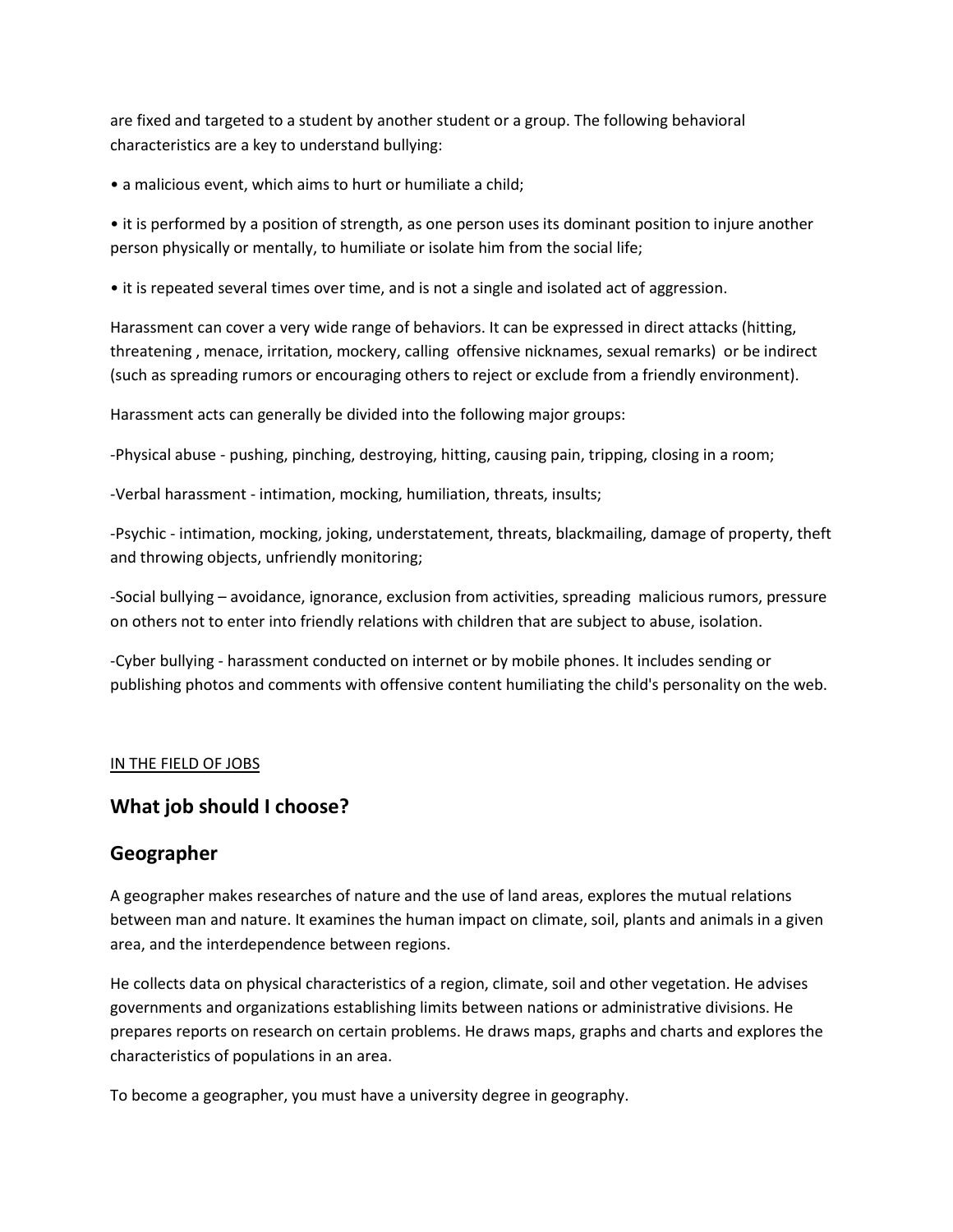are fixed and targeted to a student by another student or a group. The following behavioral characteristics are a key to understand bullying:

• a malicious event, which aims to hurt or humiliate a child;

• it is performed by a position of strength, as one person uses its dominant position to injure another person physically or mentally, to humiliate or isolate him from the social life;

• it is repeated several times over time, and is not a single and isolated act of aggression.

Harassment can cover a very wide range of behaviors. It can be expressed in direct attacks (hitting, threatening , menace, irritation, mockery, calling offensive nicknames, sexual remarks) or be indirect (such as spreading rumors or encouraging others to reject or exclude from a friendly environment).

Harassment acts can generally be divided into the following major groups:

-Physical abuse - pushing, pinching, destroying, hitting, causing pain, tripping, closing in a room;

-Verbal harassment - intimation, mocking, humiliation, threats, insults;

-Psychic - intimation, mocking, joking, understatement, threats, blackmailing, damage of property, theft and throwing objects, unfriendly monitoring;

-Social bullying – avoidance, ignorance, exclusion from activities, spreading malicious rumors, pressure on others not to enter into friendly relations with children that are subject to abuse, isolation.

-Cyber bullying - harassment conducted on internet or by mobile phones. It includes sending or publishing photos and comments with offensive content humiliating the child's personality on the web.

#### IN THE FIELD OF JOBS

### **What job should I choose?**

### **Geographer**

A geographer makes researches of nature and the use of land areas, explores the mutual relations between man and nature. It examines the human impact on climate, soil, plants and animals in a given area, and the interdependence between regions.

He collects data on physical characteristics of a region, climate, soil and other vegetation. He advises governments and organizations establishing limits between nations or administrative divisions. He prepares reports on research on certain problems. He draws maps, graphs and charts and explores the characteristics of populations in an area.

To become a geographer, you must have a university degree in geography.